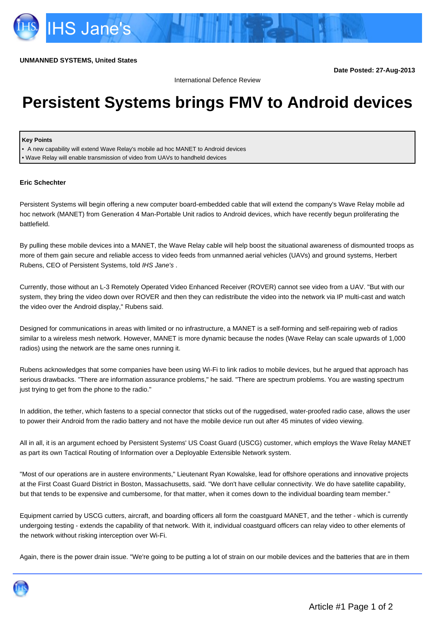**Date Posted: 27-Aug-2013**

International Defence Review

## **Persistent Systems brings FMV to Android devices**

## **Key Points**

• A new capability will extend Wave Relay's mobile ad hoc MANET to Android devices • Wave Relay will enable transmission of video from UAVs to handheld devices

## **Eric Schechter**

Persistent Systems will begin offering a new computer board-embedded cable that will extend the company's Wave Relay mobile ad hoc network (MANET) from Generation 4 Man-Portable Unit radios to Android devices, which have recently begun proliferating the battlefield.

By pulling these mobile devices into a MANET, the Wave Relay cable will help boost the situational awareness of dismounted troops as more of them gain secure and reliable access to video feeds from unmanned aerial vehicles (UAVs) and ground systems, Herbert Rubens, CEO of Persistent Systems, told IHS Jane's .

Currently, those without an L-3 Remotely Operated Video Enhanced Receiver (ROVER) cannot see video from a UAV. "But with our system, they bring the video down over ROVER and then they can redistribute the video into the network via IP multi-cast and watch the video over the Android display," Rubens said.

Designed for communications in areas with limited or no infrastructure, a MANET is a self-forming and self-repairing web of radios similar to a wireless mesh network. However, MANET is more dynamic because the nodes (Wave Relay can scale upwards of 1,000 radios) using the network are the same ones running it.

Rubens acknowledges that some companies have been using Wi-Fi to link radios to mobile devices, but he argued that approach has serious drawbacks. "There are information assurance problems," he said. "There are spectrum problems. You are wasting spectrum just trying to get from the phone to the radio."

In addition, the tether, which fastens to a special connector that sticks out of the ruggedised, water-proofed radio case, allows the user to power their Android from the radio battery and not have the mobile device run out after 45 minutes of video viewing.

All in all, it is an argument echoed by Persistent Systems' US Coast Guard (USCG) customer, which employs the Wave Relay MANET as part its own Tactical Routing of Information over a Deployable Extensible Network system.

"Most of our operations are in austere environments," Lieutenant Ryan Kowalske, lead for offshore operations and innovative projects at the First Coast Guard District in Boston, Massachusetts, said. "We don't have cellular connectivity. We do have satellite capability, but that tends to be expensive and cumbersome, for that matter, when it comes down to the individual boarding team member."

Equipment carried by USCG cutters, aircraft, and boarding officers all form the coastguard MANET, and the tether - which is currently undergoing testing - extends the capability of that network. With it, individual coastguard officers can relay video to other elements of the network without risking interception over Wi-Fi.

Again, there is the power drain issue. "We're going to be putting a lot of strain on our mobile devices and the batteries that are in them